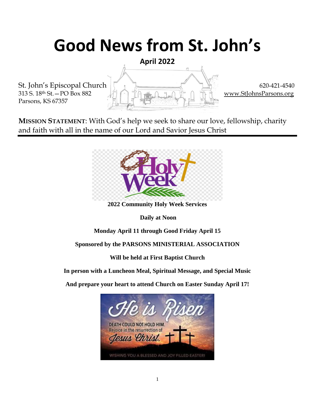# **Good News from St. John's**

**April 2022**

Parsons, KS 67357

St. John's Episcopal Church  $\begin{bmatrix} 620-421-4540 \end{bmatrix}$  620-421-4540 313 S. 18<sup>th</sup> St. – PO Box 882  $\Box$  in  $\Box$  in  $\Box$  in  $\Box$  in  $\Box$  in  $\Box$  in  $\Box$  [www.StJohnsParsons.org](http://www.stjohnsparsons.org/)

**MISSION STATEMENT**: With God's help we seek to share our love, fellowship, charity and faith with all in the name of our Lord and Savior Jesus Christ



**2022 Community Holy Week Services**

**Daily at Noon** 

**Monday April 11 through Good Friday April 15**

**Sponsored by the PARSONS MINISTERIAL ASSOCIATION**

**Will be held at First Baptist Church**

**In person with a Luncheon Meal, Spiritual Message, and Special Music** 

**And prepare your heart to attend Church on Easter Sunday April 17!**

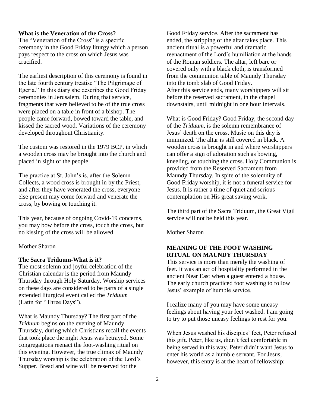#### **What is the Veneration of the Cross?**

The "Veneration of the Cross" is a specific ceremony in the Good Friday liturgy which a person pays respect to the cross on which Jesus was crucified.

The earliest description of this ceremony is found in the late fourth century treatise "The Pilgrimage of Egeria." In this diary she describes the Good Friday ceremonies in Jerusalem. During that service, fragments that were believed to be of the true cross were placed on a table in front of a bishop. The people came forward, bowed toward the table, and kissed the sacred wood. Variations of the ceremony developed throughout Christianity.

The custom was restored in the 1979 BCP, in which a wooden cross may be brought into the church and placed in sight of the people

The practice at St. John's is, after the Solemn Collects, a wood cross is brought in by the Priest, and after they have venerated the cross, everyone else present may come forward and venerate the cross, by bowing or touching it.

This year, because of ongoing Covid-19 concerns, you may bow before the cross, touch the cross, but no kissing of the cross will be allowed.

#### Mother Sharon

#### **The Sacra Triduum-What is it?**

The most solemn and joyful celebration of the Christian calendar is the period from Maundy Thursday through Holy Saturday. Worship services on these days are considered to be parts of a single extended liturgical event called the *Triduum* (Latin for "Three Days").

What is Maundy Thursday? The first part of the *Triduum* begins on the evening of Maundy Thursday, during which Christians recall the events that took place the night Jesus was betrayed. Some congregations reenact the foot-washing ritual on this evening. However, the true climax of Maundy Thursday worship is the celebration of the Lord's Supper. Bread and wine will be reserved for the

Good Friday service. After the sacrament has ended, the stripping of the altar takes place. This ancient ritual is a powerful and dramatic reenactment of the Lord's humiliation at the hands of the Roman soldiers. The altar, left bare or covered only with a black cloth, is transformed from the communion table of Maundy Thursday into the tomb slab of Good Friday. After this service ends, many worshippers will sit before the reserved sacrament, in the chapel downstairs, until midnight in one hour intervals.

What is Good Friday? Good Friday, the second day of the *Triduum*, is the solemn remembrance of Jesus' death on the cross. Music on this day is minimized. The altar is still covered in black. A wooden cross is brought in and where worshippers can offer a sign of adoration such as bowing, kneeling, or touching the cross. Holy Communion is provided from the Reserved Sacrament from Maundy Thursday. In spite of the solemnity of Good Friday worship, it is not a funeral service for Jesus. It is rather a time of quiet and serious contemplation on His great saving work.

The third part of the Sacra Triduum, the Great Vigil service will not be held this year.

Mother Sharon

#### **MEANING OF THE FOOT WASHING RITUAL ON MAUNDY THURSDAY**

This service is more than merely the washing of feet. It was an act of hospitality performed in the ancient Near East when a guest entered a house. The early church practiced foot washing to follow Jesus' example of humble service.

I realize many of you may have some uneasy feelings about having your feet washed. I am going to try to put those uneasy feelings to rest for you.

When Jesus washed his disciples' feet, Peter refused this gift. Peter, like us, didn't feel comfortable in being served in this way. Peter didn't want Jesus to enter his world as a humble servant. For Jesus, however, this entry is at the heart of fellowship: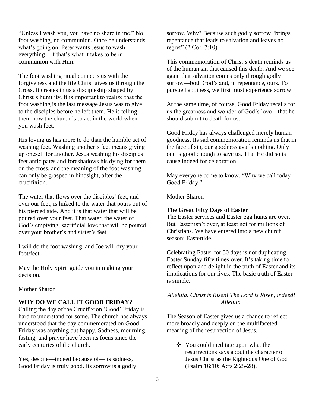"Unless I wash you, you have no share in me." No foot washing, no communion. Once he understands what's going on, Peter wants Jesus to wash everything—if that's what it takes to be in communion with Him.

The foot washing ritual connects us with the forgiveness and the life Christ gives us through the Cross. It creates in us a discipleship shaped by Christ's humility. It is important to realize that the foot washing is the last message Jesus was to give to the disciples before he left them. He is telling them how the church is to act in the world when you wash feet.

His loving us has more to do than the humble act of washing feet. Washing another's feet means giving up oneself for another. Jesus washing his disciples' feet anticipates and foreshadows his dying for them on the cross, and the meaning of the foot washing can only be grasped in hindsight, after the crucifixion.

The water that flows over the disciples' feet, and over our feet, is linked to the water that pours out of his pierced side. And it is that water that will be poured over your feet. That water, the water of God's emptying, sacrificial love that will be poured over your brother's and sister's feet.

I will do the foot washing, and Joe will dry your foot/feet.

May the Holy Spirit guide you in making your decision.

#### Mother Sharon

#### **WHY DO WE CALL IT GOOD FRIDAY?**

Calling the day of the Crucifixion 'Good' Friday is hard to understand for some. The church has always understood that the day commemorated on Good Friday was anything but happy. Sadness, mourning, fasting, and prayer have been its focus since the early centuries of the church.

Yes, despite—indeed because of—its sadness, Good Friday is truly good. Its sorrow is a godly sorrow. Why? Because such godly sorrow "brings repentance that leads to salvation and leaves no regret" (2 Cor. 7:10).

This commemoration of Christ's death reminds us of the human sin that caused this death. And we see again that salvation comes only through godly sorrow—both God's and, in repentance, ours. To pursue happiness, we first must experience sorrow.

At the same time, of course, Good Friday recalls for us the greatness and wonder of God's love—that he should submit to death for us.

Good Friday has always challenged merely human goodness. Its sad commemoration reminds us that in the face of sin, our goodness avails nothing. Only one is good enough to save us. That He did so is cause indeed for celebration.

May everyone come to know, "Why we call today Good Friday."

Mother Sharon

#### **The Great Fifty Days of Easter**

The Easter services and Easter egg hunts are over. But Easter isn't over, at least not for millions of Christians. We have entered into a new church season: Eastertide.

Celebrating Easter for 50 days is not duplicating Easter Sunday fifty times over. It's taking time to reflect upon and delight in the truth of Easter and its implications for our lives. The basic truth of Easter is simple.

#### *Alleluia. Christ is Risen! The Lord is Risen, indeed! Alleluia.*

The Season of Easter gives us a chance to reflect more broadly and deeply on the multifaceted meaning of the resurrection of Jesus.

❖ You could meditate upon what the resurrections says about the character of Jesus Christ as the Righteous One of God (Psalm 16:10; Acts 2:25-28).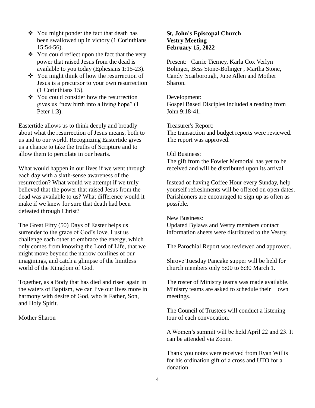- ❖ You might ponder the fact that death has been swallowed up in victory (1 Corinthians 15:54-56).
- You could reflect upon the fact that the very power that raised Jesus from the dead is available to you today (Ephesians 1:15-23).
- ❖ You might think of how the resurrection of Jesus is a precursor to your own resurrection (1 Corinthians 15).
- You could consider how the resurrection gives us "new birth into a living hope" (1 Peter 1:3).

Eastertide allows us to think deeply and broadly about what the resurrection of Jesus means, both to us and to our world. Recognizing Eastertide gives us a chance to take the truths of Scripture and to allow them to percolate in our hearts.

What would happen in our lives if we went through each day with a sixth-sense awareness of the resurrection? What would we attempt if we truly believed that the power that raised Jesus from the dead was available to us? What difference would it make if we knew for sure that death had been defeated through Christ?

The Great Fifty (50) Days of Easter helps us surrender to the grace of God's love. Lust us challenge each other to embrace the energy, which only comes from knowing the Lord of Life, that we might move beyond the narrow confines of our imaginings, and catch a glimpse of the limitless world of the Kingdom of God.

Together, as a Body that has died and risen again in the waters of Baptism, we can live our lives more in harmony with desire of God, who is Father, Son, and Holy Spirit.

Mother Sharon

#### **St, John's Episcopal Church Vestry Meeting February 15, 2022**

Present: Carrie Tierney, Karla Cox Verlyn Bolinger, Bess Stone-Bolinger , Martha Stone, Candy Scarborough, Jupe Allen and Mother Sharon.

#### Development:

Gospel Based Disciples included a reading from John 9:18-41.

Treasurer's Report:

The transaction and budget reports were reviewed. The report was approved.

#### Old Business:

The gift from the Fowler Memorial has yet to be received and will be distributed upon its arrival.

Instead of having Coffee Hour every Sunday, help yourself refreshments will be offered on open dates. Parishioners are encouraged to sign up as often as possible.

New Business:

Updated Bylaws and Vestry members contact information sheets were distributed to the Vestry.

The Parochial Report was reviewed and approved.

Shrove Tuesday Pancake supper will be held for church members only 5:00 to 6:30 March 1.

The roster of Ministry teams was made available. Ministry teams are asked to schedule their own meetings.

The Council of Trustees will conduct a listening tour of each convocation.

A Women's summit will be held April 22 and 23. It can be attended via Zoom.

Thank you notes were received from Ryan Willis for his ordination gift of a cross and UTO for a donation.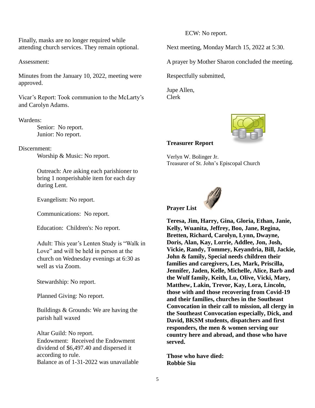Finally, masks are no longer required while attending church services. They remain optional.

Assessment:

Minutes from the January 10, 2022, meeting were approved.

Vicar's Report: Took communion to the McLarty's and Carolyn Adams.

#### Wardens:

Senior: No report. Junior: No report.

Discernment:

Worship & Music: No report.

Outreach: Are asking each parishioner to bring 1 nonperishable item for each day during Lent.

Evangelism: No report.

Communications: No report.

Education: Children's: No report.

Adult: This year's Lenten Study is "Walk in Love" and will be held in person at the church on Wednesday evenings at 6:30 as well as via Zoom.

Stewardship: No report.

Planned Giving: No report.

Buildings & Grounds: We are having the parish hall waxed

Altar Guild: No report. Endowment: Received the Endowment dividend of \$6,497.40 and dispersed it according to rule. Balance as of 1-31-2022 was unavailable ECW: No report.

Next meeting, Monday March 15, 2022 at 5:30.

A prayer by Mother Sharon concluded the meeting.

Respectfully submitted,

Jupe Allen, Clerk



#### **Treasurer Report**

Verlyn W. Bolinger Jr. Treasurer of St. John's Episcopal Church



**Teresa, Jim, Harry, Gina, Gloria, Ethan, Janie, Kelly, Wuanita, Jeffrey, Boo, Jane, Regina, Bretten, Richard, Carolyn, Lynn, Dwayne, Doris, Alan, Kay, Lorrie, Addlee, Jon, Josh, Vickie, Randy, Tommey, Keyandria, Bill, Jackie, John & family, Special needs children their families and caregivers, Les, Mark, Priscilla, Jennifer, Jaden, Kelle, Michelle, Alice, Barb and the Wulf family, Keith, Lu, Olive, Vicki, Mary, Matthew, Lakin, Trevor, Kay, Lora, Lincoln, those with and those recovering from Covid-19 and their families, churches in the Southeast Convocation in their call to mission, all clergy in the Southeast Convocation especially, Dick, and David, BKSM students, dispatchers and first responders, the men & women serving our country here and abroad, and those who have served.**

**Those who have died: Robbie Siu**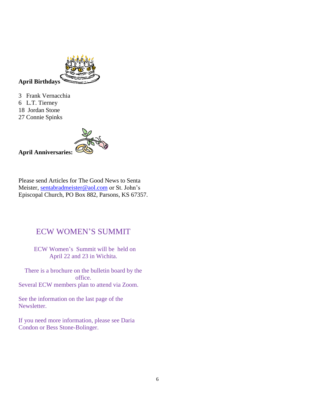

3 Frank Vernacchia 6 L.T. Tierney 18 Jordan Stone

27 Connie Spinks

**April Anniversaries:**

Please send Articles for The Good News to Senta Meister, [sentabradmeister@aol.com](mailto:sentabradmeister@aol.com) or St. John's Episcopal Church, PO Box 882, Parsons, KS 67357.

### ECW WOMEN'S SUMMIT

 ECW Women's Summit will be held on April 22 and 23 in Wichita.

There is a brochure on the bulletin board by the office. Several ECW members plan to attend via Zoom.

See the information on the last page of the Newsletter.

If you need more information, please see Daria Condon or Bess Stone-Bolinger.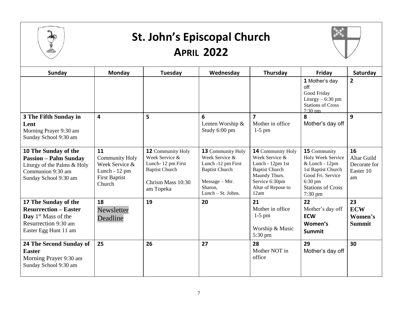

### **St. John's Episcopal Church APRIL 2022**



| <b>Sunday</b>                                                                                                                            | Monday                                                                                           | Tuesday                                                                                                                    | Wednesday                                                                                                                                      | Thursday                                                                                                                                                 | Friday                                                                                                                                             | Saturday                                             |  |
|------------------------------------------------------------------------------------------------------------------------------------------|--------------------------------------------------------------------------------------------------|----------------------------------------------------------------------------------------------------------------------------|------------------------------------------------------------------------------------------------------------------------------------------------|----------------------------------------------------------------------------------------------------------------------------------------------------------|----------------------------------------------------------------------------------------------------------------------------------------------------|------------------------------------------------------|--|
|                                                                                                                                          |                                                                                                  |                                                                                                                            |                                                                                                                                                |                                                                                                                                                          | 1 Mother's day<br>off<br>Good Friday<br>Liturgy $-6:30$ pm<br><b>Stations of Cross</b><br>$7:30 \text{ nm}$                                        | $\overline{\mathbf{2}}$                              |  |
| <b>3 The Fifth Sunday in</b><br>Lent<br>Morning Prayer 9:30 am<br>Sunday School 9:30 am                                                  | 4                                                                                                | 5                                                                                                                          | 6<br>Lenten Worship &<br>Study 6:00 pm                                                                                                         | $\overline{\mathbf{z}}$<br>Mother in office<br>$1-5$ pm                                                                                                  | 8<br>Mother's day off                                                                                                                              | 9                                                    |  |
| 10 The Sunday of the<br><b>Passion - Palm Sunday</b><br>Liturgy of the Palms & Holy<br>Communion 9:30 am<br>Sunday School 9:30 am        | 11<br><b>Community Holy</b><br>Week Service &<br>Lunch - 12 pm<br><b>First Baptist</b><br>Church | <b>12 Community Holy</b><br>Week Service &<br>Lunch-12 pm First<br><b>Baptist Church</b><br>Chrism Mass 10:30<br>am Topeka | <b>13</b> Community Holy<br>Week Service &<br>Lunch -12 pm First<br><b>Baptist Church</b><br>$Message - Mtr.$<br>Sharon,<br>Lunch - St. Johns. | <b>14 Community Holy</b><br>Week Service &<br>Lunch - 12pm 1st<br><b>Baptist Church</b><br>Maundy Thurs.<br>Service 6:30pm<br>Altar of Repose to<br>12am | 15 Community<br>Holy Week Service<br>& Lunch - 12pm<br>1st Baptist Church<br>Good Fri. Service<br>$6:30$ pm<br><b>Stations of Cross</b><br>7:30 pm | 16<br>Altar Guild<br>Decorate for<br>Easter 10<br>am |  |
| 17 The Sunday of the<br><b>Resurrection – Easter</b><br>Day 1 <sup>st</sup> Mass of the<br>Resurrection 9:30 am<br>Easter Egg Hunt 11 am | 18<br>Newsletter<br>Deadline                                                                     | 19                                                                                                                         | 20                                                                                                                                             | 21<br>Mother in office<br>$1-5$ pm<br>Worship & Music<br>$5:30 \text{ pm}$                                                                               | 22<br>Mother's day off<br><b>ECW</b><br>Women's<br>Summit                                                                                          | 23<br><b>ECW</b><br>Women's<br><b>Summit</b>         |  |
| 24 The Second Sunday of<br><b>Easter</b><br>Morning Prayer 9:30 am<br>Sunday School 9:30 am                                              | 25                                                                                               | 26                                                                                                                         | 27                                                                                                                                             | 28<br>Mother NOT in<br>office                                                                                                                            | 29<br>Mother's day off                                                                                                                             | 30                                                   |  |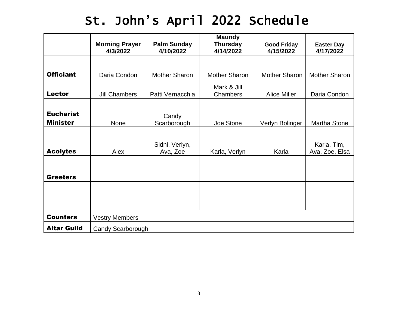## St. John's April 2022 Schedule

|                                     | <b>Morning Prayer</b><br>4/3/2022 | <b>Palm Sunday</b><br>4/10/2022 | <b>Maundy</b><br><b>Thursday</b><br>4/14/2022 | <b>Good Friday</b><br>4/15/2022 | <b>Easter Day</b><br>4/17/2022 |  |
|-------------------------------------|-----------------------------------|---------------------------------|-----------------------------------------------|---------------------------------|--------------------------------|--|
|                                     |                                   |                                 |                                               |                                 |                                |  |
| <b>Officiant</b>                    | Daria Condon                      | <b>Mother Sharon</b>            | <b>Mother Sharon</b>                          | Mother Sharon                   | <b>Mother Sharon</b>           |  |
| <b>Lector</b>                       | <b>Jill Chambers</b>              | Patti Vernacchia                | Mark & Jill<br>Chambers                       | <b>Alice Miller</b>             | Daria Condon                   |  |
| <b>Eucharist</b><br><b>Minister</b> | None                              | Candy<br>Scarborough            | Joe Stone                                     | Verlyn Bolinger                 | Martha Stone                   |  |
| <b>Acolytes</b>                     | Alex                              | Sidni, Verlyn,<br>Ava, Zoe      | Karla, Verlyn                                 | Karla                           | Karla, Tim,<br>Ava, Zoe, Elsa  |  |
| <b>Greeters</b>                     |                                   |                                 |                                               |                                 |                                |  |
|                                     |                                   |                                 |                                               |                                 |                                |  |
| <b>Counters</b>                     | <b>Vestry Members</b>             |                                 |                                               |                                 |                                |  |
| <b>Altar Guild</b>                  | <b>Candy Scarborough</b>          |                                 |                                               |                                 |                                |  |